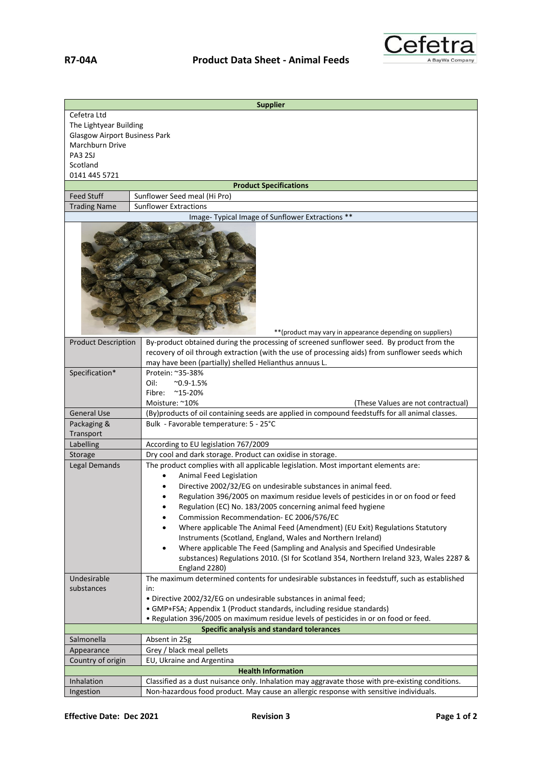

| <b>Supplier</b>                           |                                                                                                                                                                                              |  |
|-------------------------------------------|----------------------------------------------------------------------------------------------------------------------------------------------------------------------------------------------|--|
| Cefetra Ltd                               |                                                                                                                                                                                              |  |
| The Lightyear Building                    |                                                                                                                                                                                              |  |
| <b>Glasgow Airport Business Park</b>      |                                                                                                                                                                                              |  |
| Marchburn Drive                           |                                                                                                                                                                                              |  |
| PA3 2SJ                                   |                                                                                                                                                                                              |  |
| Scotland                                  |                                                                                                                                                                                              |  |
| 0141 445 5721                             |                                                                                                                                                                                              |  |
| <b>Feed Stuff</b>                         | <b>Product Specifications</b><br>Sunflower Seed meal (Hi Pro)                                                                                                                                |  |
| <b>Trading Name</b>                       | <b>Sunflower Extractions</b>                                                                                                                                                                 |  |
|                                           | Image- Typical Image of Sunflower Extractions **                                                                                                                                             |  |
|                                           |                                                                                                                                                                                              |  |
|                                           | ** (product may vary in appearance depending on suppliers)                                                                                                                                   |  |
| <b>Product Description</b>                | By-product obtained during the processing of screened sunflower seed. By product from the<br>recovery of oil through extraction (with the use of processing aids) from sunflower seeds which |  |
| Specification*                            | may have been (partially) shelled Helianthus annuus L.<br>Protein: ~35-38%                                                                                                                   |  |
|                                           | Oil:<br>$^{\sim}$ 0.9-1.5%                                                                                                                                                                   |  |
|                                           | Fibre:<br>$^{\sim}$ 15-20%                                                                                                                                                                   |  |
|                                           | Moisture: ~10%<br>(These Values are not contractual)                                                                                                                                         |  |
| <b>General Use</b>                        | (By)products of oil containing seeds are applied in compound feedstuffs for all animal classes.                                                                                              |  |
| Packaging &                               | Bulk - Favorable temperature: 5 - 25°C                                                                                                                                                       |  |
| Transport                                 |                                                                                                                                                                                              |  |
| Labelling                                 | According to EU legislation 767/2009                                                                                                                                                         |  |
| Storage                                   | Dry cool and dark storage. Product can oxidise in storage.                                                                                                                                   |  |
| Legal Demands                             | The product complies with all applicable legislation. Most important elements are:                                                                                                           |  |
|                                           | Animal Feed Legislation                                                                                                                                                                      |  |
|                                           | Directive 2002/32/EG on undesirable substances in animal feed.                                                                                                                               |  |
|                                           | Regulation 396/2005 on maximum residue levels of pesticides in or on food or feed                                                                                                            |  |
|                                           | Regulation (EC) No. 183/2005 concerning animal feed hygiene<br>٠                                                                                                                             |  |
|                                           | Commission Recommendation- EC 2006/576/EC<br>٠                                                                                                                                               |  |
|                                           | Where applicable The Animal Feed (Amendment) (EU Exit) Regulations Statutory<br>٠<br>Instruments (Scotland, England, Wales and Northern Ireland)                                             |  |
|                                           | Where applicable The Feed (Sampling and Analysis and Specified Undesirable<br>٠                                                                                                              |  |
|                                           | substances) Regulations 2010. (SI for Scotland 354, Northern Ireland 323, Wales 2287 &                                                                                                       |  |
|                                           | England 2280)                                                                                                                                                                                |  |
| Undesirable                               | The maximum determined contents for undesirable substances in feedstuff, such as established                                                                                                 |  |
| substances                                | in:                                                                                                                                                                                          |  |
|                                           | . Directive 2002/32/EG on undesirable substances in animal feed;                                                                                                                             |  |
|                                           | • GMP+FSA; Appendix 1 (Product standards, including residue standards)                                                                                                                       |  |
|                                           | . Regulation 396/2005 on maximum residue levels of pesticides in or on food or feed.                                                                                                         |  |
| Specific analysis and standard tolerances |                                                                                                                                                                                              |  |
| Salmonella                                | Absent in 25g                                                                                                                                                                                |  |
| Appearance                                | Grey / black meal pellets                                                                                                                                                                    |  |
| Country of origin                         | EU, Ukraine and Argentina                                                                                                                                                                    |  |
|                                           | <b>Health Information</b>                                                                                                                                                                    |  |
| Inhalation                                | Classified as a dust nuisance only. Inhalation may aggravate those with pre-existing conditions.                                                                                             |  |
| Ingestion                                 | Non-hazardous food product. May cause an allergic response with sensitive individuals.                                                                                                       |  |